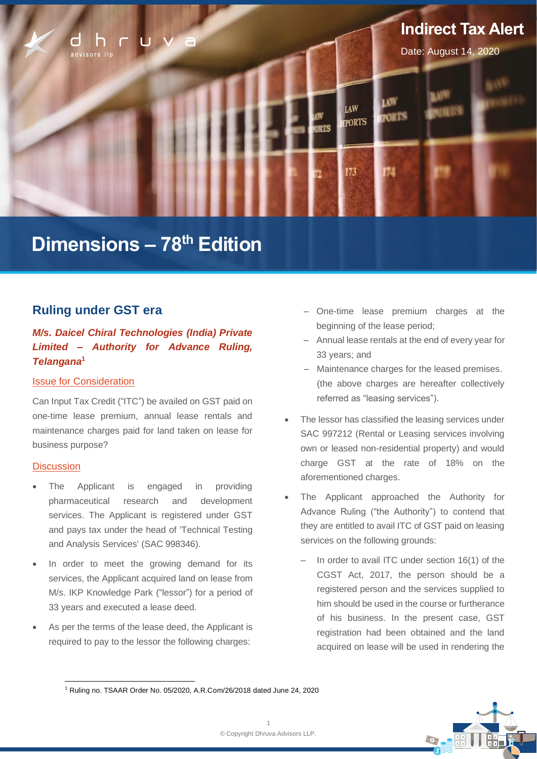

# **Dimensions – 78 th Edition**

# **Ruling under GST era**

# *M/s. Daicel Chiral Technologies (India) Private Limited – Authority for Advance Ruling, Telangana***<sup>1</sup>**

### Issue for Consideration

Can Input Tax Credit ("ITC") be availed on GST paid on one-time lease premium, annual lease rentals and maintenance charges paid for land taken on lease for business purpose?

#### **Discussion**

- The Applicant is engaged in providing pharmaceutical research and development services. The Applicant is registered under GST and pays tax under the head of 'Technical Testing and Analysis Services' (SAC 998346).
- In order to meet the growing demand for its services, the Applicant acquired land on lease from M/s. IKP Knowledge Park ("lessor") for a period of 33 years and executed a lease deed.
- As per the terms of the lease deed, the Applicant is required to pay to the lessor the following charges:
- ‒ One-time lease premium charges at the beginning of the lease period;
- ‒ Annual lease rentals at the end of every year for 33 years; and
- ‒ Maintenance charges for the leased premises. (the above charges are hereafter collectively referred as "leasing services").
- The lessor has classified the leasing services under SAC 997212 (Rental or Leasing services involving own or leased non-residential property) and would charge GST at the rate of 18% on the aforementioned charges.
- The Applicant approached the Authority for Advance Ruling ("the Authority") to contend that they are entitled to avail ITC of GST paid on leasing services on the following grounds:
	- In order to avail ITC under section 16(1) of the CGST Act, 2017, the person should be a registered person and the services supplied to him should be used in the course or furtherance of his business. In the present case, GST registration had been obtained and the land acquired on lease will be used in rendering the



<sup>1</sup> Ruling no. TSAAR Order No. 05/2020, A.R.Com/26/2018 dated June 24, 2020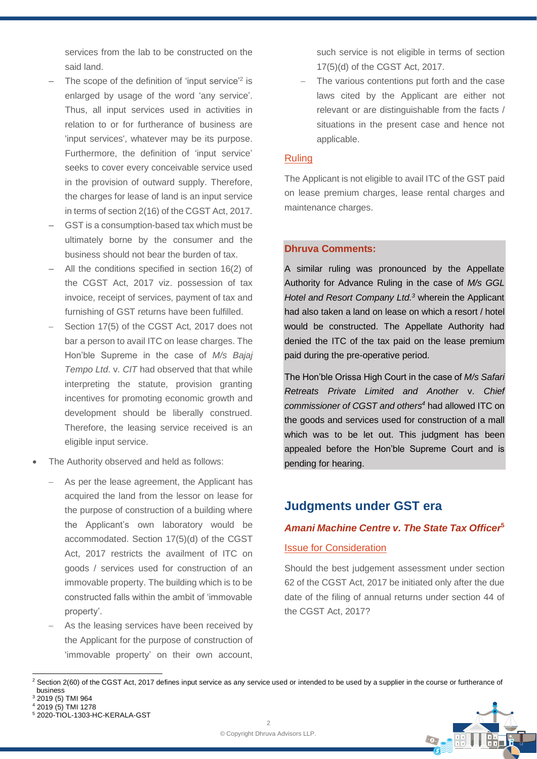services from the lab to be constructed on the said land.

- $-$  The scope of the definition of 'input service'<sup>2</sup> is enlarged by usage of the word 'any service'. Thus, all input services used in activities in relation to or for furtherance of business are 'input services', whatever may be its purpose. Furthermore, the definition of 'input service' seeks to cover every conceivable service used in the provision of outward supply. Therefore, the charges for lease of land is an input service in terms of section 2(16) of the CGST Act, 2017.
- GST is a consumption-based tax which must be ultimately borne by the consumer and the business should not bear the burden of tax.
- All the conditions specified in section 16(2) of the CGST Act, 2017 viz. possession of tax invoice, receipt of services, payment of tax and furnishing of GST returns have been fulfilled.
- Section 17(5) of the CGST Act, 2017 does not bar a person to avail ITC on lease charges. The Hon'ble Supreme in the case of *M/s Bajaj Tempo Ltd*. v. *CIT* had observed that that while interpreting the statute, provision granting incentives for promoting economic growth and development should be liberally construed. Therefore, the leasing service received is an eligible input service.
- The Authority observed and held as follows:
	- As per the lease agreement, the Applicant has acquired the land from the lessor on lease for the purpose of construction of a building where the Applicant's own laboratory would be accommodated. Section 17(5)(d) of the CGST Act, 2017 restricts the availment of ITC on goods / services used for construction of an immovable property. The building which is to be constructed falls within the ambit of 'immovable property'.
	- As the leasing services have been received by the Applicant for the purpose of construction of 'immovable property' on their own account,

such service is not eligible in terms of section 17(5)(d) of the CGST Act, 2017.

The various contentions put forth and the case laws cited by the Applicant are either not relevant or are distinguishable from the facts / situations in the present case and hence not applicable.

#### Ruling

The Applicant is not eligible to avail ITC of the GST paid on lease premium charges, lease rental charges and maintenance charges.

## **Dhruva Comments:**

A similar ruling was pronounced by the Appellate Authority for Advance Ruling in the case of *M/s GGL Hotel and Resort Company Ltd.<sup>3</sup>* wherein the Applicant had also taken a land on lease on which a resort / hotel would be constructed. The Appellate Authority had denied the ITC of the tax paid on the lease premium paid during the pre-operative period.

The Hon'ble Orissa High Court in the case of *M/s Safari Retreats Private Limited and Another* v. *Chief commissioner of CGST and others<sup>4</sup>* had allowed ITC on the goods and services used for construction of a mall which was to be let out. This judgment has been appealed before the Hon'ble Supreme Court and is pending for hearing.

# **Judgments under GST era**

# *Amani Machine Centre v. The State Tax Officer***<sup>5</sup>**

## Issue for Consideration

Should the best judgement assessment under section 62 of the CGST Act, 2017 be initiated only after the due date of the filing of annual returns under section 44 of the CGST Act, 2017?

<sup>&</sup>lt;sup>2</sup> Section 2(60) of the CGST Act, 2017 defines input service as any service used or intended to be used by a supplier in the course or furtherance of business



<sup>4</sup> 2019 (5) TMI 1278



<sup>5</sup> 2020-TIOL-1303-HC-KERALA-GST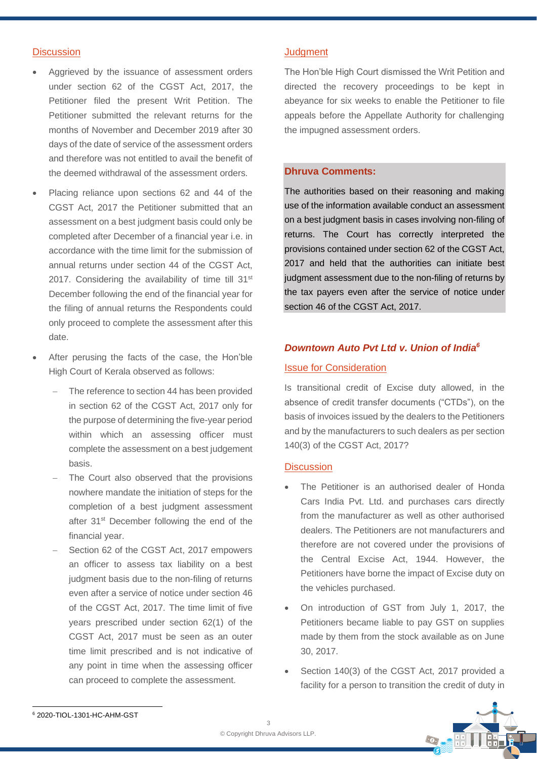#### **Discussion**

- Aggrieved by the issuance of assessment orders under section 62 of the CGST Act, 2017, the Petitioner filed the present Writ Petition. The Petitioner submitted the relevant returns for the months of November and December 2019 after 30 days of the date of service of the assessment orders and therefore was not entitled to avail the benefit of the deemed withdrawal of the assessment orders.
- Placing reliance upon sections 62 and 44 of the CGST Act, 2017 the Petitioner submitted that an assessment on a best judgment basis could only be completed after December of a financial year i.e. in accordance with the time limit for the submission of annual returns under section 44 of the CGST Act, 2017. Considering the availability of time till 31<sup>st</sup> December following the end of the financial year for the filing of annual returns the Respondents could only proceed to complete the assessment after this date.
- After perusing the facts of the case, the Hon'ble High Court of Kerala observed as follows:
	- The reference to section 44 has been provided in section 62 of the CGST Act, 2017 only for the purpose of determining the five-year period within which an assessing officer must complete the assessment on a best judgement basis.
	- The Court also observed that the provisions nowhere mandate the initiation of steps for the completion of a best judgment assessment after 31<sup>st</sup> December following the end of the financial year.
	- Section 62 of the CGST Act, 2017 empowers an officer to assess tax liability on a best judgment basis due to the non-filing of returns even after a service of notice under section 46 of the CGST Act, 2017. The time limit of five years prescribed under section 62(1) of the CGST Act, 2017 must be seen as an outer time limit prescribed and is not indicative of any point in time when the assessing officer can proceed to complete the assessment.

#### **Judgment**

The Hon'ble High Court dismissed the Writ Petition and directed the recovery proceedings to be kept in abeyance for six weeks to enable the Petitioner to file appeals before the Appellate Authority for challenging the impugned assessment orders.

#### **Dhruva Comments:**

The authorities based on their reasoning and making use of the information available conduct an assessment on a best judgment basis in cases involving non-filing of returns. The Court has correctly interpreted the provisions contained under section 62 of the CGST Act, 2017 and held that the authorities can initiate best judgment assessment due to the non-filing of returns by the tax payers even after the service of notice under section 46 of the CGST Act, 2017.

## *Downtown Auto Pvt Ltd v. Union of India<sup>6</sup>*

#### Issue for Consideration

Is transitional credit of Excise duty allowed, in the absence of credit transfer documents ("CTDs"), on the basis of invoices issued by the dealers to the Petitioners and by the manufacturers to such dealers as per section 140(3) of the CGST Act, 2017?

#### **Discussion**

- The Petitioner is an authorised dealer of Honda Cars India Pvt. Ltd. and purchases cars directly from the manufacturer as well as other authorised dealers. The Petitioners are not manufacturers and therefore are not covered under the provisions of the Central Excise Act, 1944. However, the Petitioners have borne the impact of Excise duty on the vehicles purchased.
- On introduction of GST from July 1, 2017, the Petitioners became liable to pay GST on supplies made by them from the stock available as on June 30, 2017.
- Section 140(3) of the CGST Act, 2017 provided a facility for a person to transition the credit of duty in

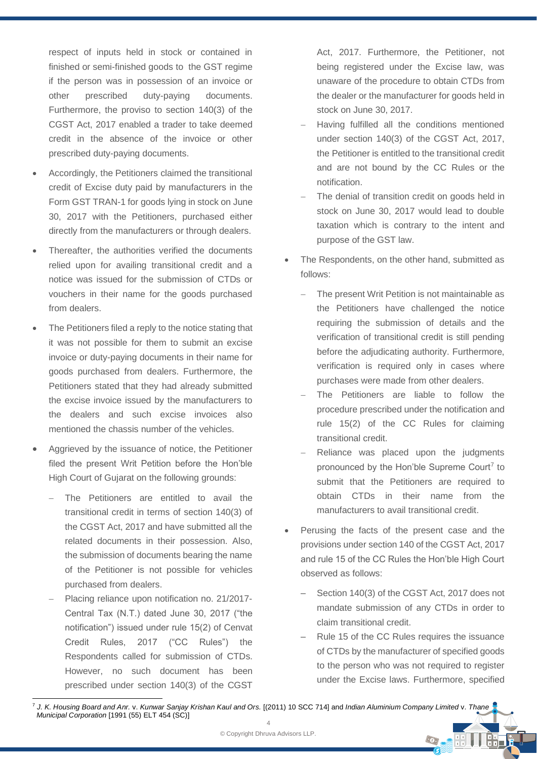respect of inputs held in stock or contained in finished or semi-finished goods to the GST regime if the person was in possession of an invoice or other prescribed duty-paying documents. Furthermore, the proviso to section 140(3) of the CGST Act, 2017 enabled a trader to take deemed credit in the absence of the invoice or other prescribed duty-paying documents.

- Accordingly, the Petitioners claimed the transitional credit of Excise duty paid by manufacturers in the Form GST TRAN-1 for goods lying in stock on June 30, 2017 with the Petitioners, purchased either directly from the manufacturers or through dealers.
- Thereafter, the authorities verified the documents relied upon for availing transitional credit and a notice was issued for the submission of CTDs or vouchers in their name for the goods purchased from dealers.
- The Petitioners filed a reply to the notice stating that it was not possible for them to submit an excise invoice or duty-paying documents in their name for goods purchased from dealers. Furthermore, the Petitioners stated that they had already submitted the excise invoice issued by the manufacturers to the dealers and such excise invoices also mentioned the chassis number of the vehicles.
- Aggrieved by the issuance of notice, the Petitioner filed the present Writ Petition before the Hon'ble High Court of Gujarat on the following grounds:
	- The Petitioners are entitled to avail the transitional credit in terms of section 140(3) of the CGST Act, 2017 and have submitted all the related documents in their possession. Also, the submission of documents bearing the name of the Petitioner is not possible for vehicles purchased from dealers.
	- − Placing reliance upon notification no. 21/2017- Central Tax (N.T.) dated June 30, 2017 ("the notification") issued under rule 15(2) of Cenvat Credit Rules, 2017 ("CC Rules") the Respondents called for submission of CTDs. However, no such document has been prescribed under section 140(3) of the CGST

Act, 2017. Furthermore, the Petitioner, not being registered under the Excise law, was unaware of the procedure to obtain CTDs from the dealer or the manufacturer for goods held in stock on June 30, 2017.

- − Having fulfilled all the conditions mentioned under section 140(3) of the CGST Act, 2017, the Petitioner is entitled to the transitional credit and are not bound by the CC Rules or the notification.
- The denial of transition credit on goods held in stock on June 30, 2017 would lead to double taxation which is contrary to the intent and purpose of the GST law.
- The Respondents, on the other hand, submitted as follows:
	- The present Writ Petition is not maintainable as the Petitioners have challenged the notice requiring the submission of details and the verification of transitional credit is still pending before the adjudicating authority. Furthermore, verification is required only in cases where purchases were made from other dealers.
	- The Petitioners are liable to follow the procedure prescribed under the notification and rule 15(2) of the CC Rules for claiming transitional credit.
	- Reliance was placed upon the judgments pronounced by the Hon'ble Supreme Court<sup>7</sup> to submit that the Petitioners are required to obtain CTDs in their name from the manufacturers to avail transitional credit.
- Perusing the facts of the present case and the provisions under section 140 of the CGST Act, 2017 and rule 15 of the CC Rules the Hon'ble High Court observed as follows:
	- Section 140(3) of the CGST Act, 2017 does not mandate submission of any CTDs in order to claim transitional credit.
	- ‒ Rule 15 of the CC Rules requires the issuance of CTDs by the manufacturer of specified goods to the person who was not required to register under the Excise laws. Furthermore, specified

 $\odot$ 

<sup>4</sup> 7 *J. K. Housing Board and Anr.* v. *Kunwar Sanjay Krishan Kaul and Ors.* [(2011) 10 SCC 714] and *Indian Aluminium Company Limited* v. *Thane Municipal Corporation* [1991 (55) ELT 454 (SC)]

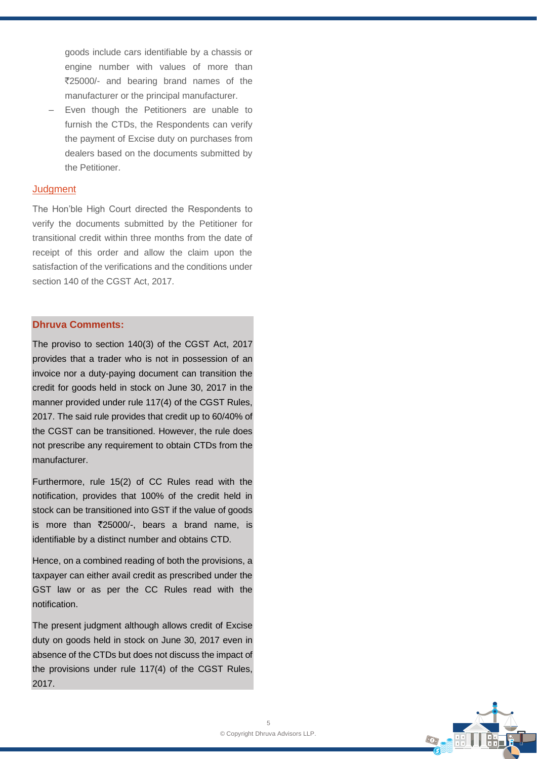goods include cars identifiable by a chassis or engine number with values of more than `25000/- and bearing brand names of the manufacturer or the principal manufacturer.

Even though the Petitioners are unable to furnish the CTDs, the Respondents can verify the payment of Excise duty on purchases from dealers based on the documents submitted by the Petitioner.

#### **Judgment**

The Hon'ble High Court directed the Respondents to verify the documents submitted by the Petitioner for transitional credit within three months from the date of receipt of this order and allow the claim upon the satisfaction of the verifications and the conditions under section 140 of the CGST Act, 2017.

### **Dhruva Comments:**

The proviso to section 140(3) of the CGST Act, 2017 provides that a trader who is not in possession of an invoice nor a duty-paying document can transition the credit for goods held in stock on June 30, 2017 in the manner provided under rule 117(4) of the CGST Rules, 2017. The said rule provides that credit up to 60/40% of the CGST can be transitioned. However, the rule does not prescribe any requirement to obtain CTDs from the manufacturer.

Furthermore, rule 15(2) of CC Rules read with the notification, provides that 100% of the credit held in stock can be transitioned into GST if the value of goods is more than  $\overline{2}25000/$ -, bears a brand name, is identifiable by a distinct number and obtains CTD.

Hence, on a combined reading of both the provisions, a taxpayer can either avail credit as prescribed under the GST law or as per the CC Rules read with the notification.

The present judgment although allows credit of Excise duty on goods held in stock on June 30, 2017 even in absence of the CTDs but does not discuss the impact of the provisions under rule 117(4) of the CGST Rules, 2017.